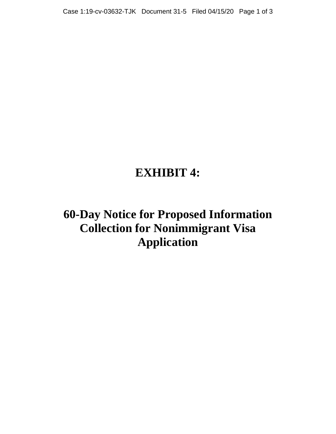# **EXHIBIT 4:**

**60-Day Notice for Proposed Information Collection for Nonimmigrant Visa Application**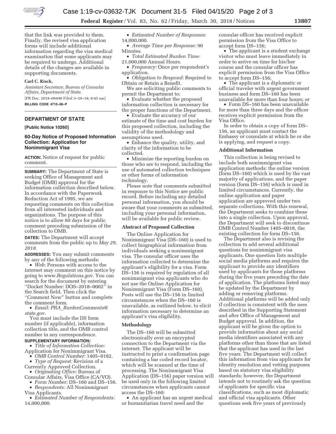

**Federal Register** / Vol. 83, No. 62 / Friday, March 30, 2018 / Notices **13807** 

that the link was provided to them. Finally, the revised visa application forms will include additional information regarding the visa medical examination that some applicants may be required to undergo. Additional details of the changes are available in supporting documents.

## **Carl C. Risch,**

*Assistant Secretary, Bureau of Consular Affairs, Department of State.*  [FR Doc. 2018–06490 Filed 3–29–18; 8:45 am]

**BILLING CODE 4710–06–P** 

# **DEPARTMENT OF STATE**

**[Public Notice 10260]** 

## **60-Day Notice of Proposed Information Collection: Application for Nonimmigrant Visa**

**ACTION:** Notice of request for public comment.

**SUMMARY:** The Department of State is seeking Office of Management and Budget (OMB) approval for the information collection described below. In accordance with the Paperwork Reduction Act of 1995, we are requesting comments on this collection from all interested individuals and organizations. The purpose of this notice is to allow 60 days for public comment preceding submission of the collection to OMB.

**DATES:** The Department will accept comments from the public up to *May 29, 2018.* 

**ADDRESSES:** You may submit comments by any of the following methods:

• *Web:* Persons with access to the internet may comment on this notice by going to *www.Regulations.gov*. You can search for the document by entering ''Docket Number: DOS–2018–0002'' in the Search field. Then click the ''Comment Now'' button and complete the comment form.

• *Email: PRA*\_*BurdenComments@ state.gov*.

You must include the DS form number (if applicable), information collection title, and the OMB control number in any correspondence.

# **SUPPLEMENTARY INFORMATION:**

• *Title of Information Collection:*  Application for Nonimmigrant Visa.

- *OMB Control Number:* 1405–0182. • *Type of Request:* Revision of a
- Currently Approved Collection. • *Originating Office:* Bureau of
- Consular Affairs, Visa Office (CA/VO). • *Form Number:* DS–160 and DS–156.

• *Respondents:* All Nonimmigrant Visa Applicants.

• *Estimated Number of Respondents:*  14,000,000.

- *Estimated Number of Responses:*  14,000,000.
- *Average Time per Response:* 90 Minutes.
- *Total Estimated Burden Time:*  21,000,000 Annual Hours.
- *Frequency:* Once per respondent's application.
- *Obligation to Respond:* Required to Obtain or Retain a Benefit.
- We are soliciting public comments to permit the Department to:
- Evaluate whether the proposed information collection is necessary for the proper functions of the Department.

• Evaluate the accuracy of our estimate of the time and cost burden for this proposed collection, including the validity of the methodology and assumptions used.

• Enhance the quality, utility, and clarity of the information to be collected.

• Minimize the reporting burden on those who are to respond, including the use of automated collection techniques or other forms of information technology.

Please note that comments submitted in response to this Notice are public record. Before including any detailed personal information, you should be aware that your comments as submitted, including your personal information, will be available for public review.

#### **Abstract of Proposed Collection**

The Online Application for Nonimmigrant Visa (DS–160) is used to collect biographical information from individuals seeking a nonimmigrant visa. The consular officer uses the information collected to determine the applicant's eligibility for a visa. Form DS–156 is required by regulation of all nonimmigrant visa applicants who do not use the Online Application for Nonimmigrant Visa (Form DS–160). Posts will use the DS–156 in limited circumstances when the DS–160 is unavailable, as outlined below, to elicit information necessary to determine an applicant's visa eligibility.

#### **Methodology**

The DS–160 will be submitted electronically over an encrypted connection to the Department via the internet. The applicant will be instructed to print a confirmation page containing a bar coded record locator, which will be scanned at the time of processing. The Nonimmigrant Visa Application (DS–156) paper version will be used only in the following limited circumstances when applicants cannot access the DS–160:

• An applicant has an urgent medical or humanitarian travel need and the

consular officer has received explicit permission from the Visa Office to accept form DS–156;

• The applicant is a student exchange visitor who must leave immediately in order to arrive on time for his/her course and the consular officer has explicit permission from the Visa Office to accept form DS–156;

• The applicant is a diplomatic or official traveler with urgent government business and form DS–160 has been unavailable for more than four hours; or

• Form DS–160 has been unavailable for more than three days and the officer receives explicit permission from the Visa Office.

In order to obtain a copy of form DS– 156, an applicant must contact the Embassy or consulate at which he or she is applying, and request a copy.

#### **Additional Information**

This collection is being revised to include both nonimmigrant visa application methods: the online version (form DS–160) which is used by the vast majority of applications, and the paper version (form DS–156) which is used in limited circumstances. Currently, the online application and paper application are approved under two separate collections. With this renewal, the Department seeks to combine these into a single collection. Upon approval, the Department will seek to discontinue OMB Control Number 1405–0018, the existing collection for form DS–156.

The Department also is revising the collection to add several additional questions for nonimmigrant visa applicants. One question lists multiple social media platforms and requires the applicant to provide any identifiers used by applicants for those platforms during the five years preceding the date of application. The platforms listed may be updated by the Department by adding or removing platforms. Additional platforms will be added only if collection is consistent with the uses described in the Supporting Statement and after Office of Management and Budget approval. In addition, the applicant will be given the option to provide information about any social media identifiers associated with any platforms other than those that are listed that the applicant has used in the last five years. The Department will collect this information from visa applicants for identity resolution and vetting purposes based on statutory visa eligibility standards; however, the Department intends not to routinely ask the question of applicants for specific visa classifications, such as most diplomatic and official visa applicants. Other questions seek five years of previously